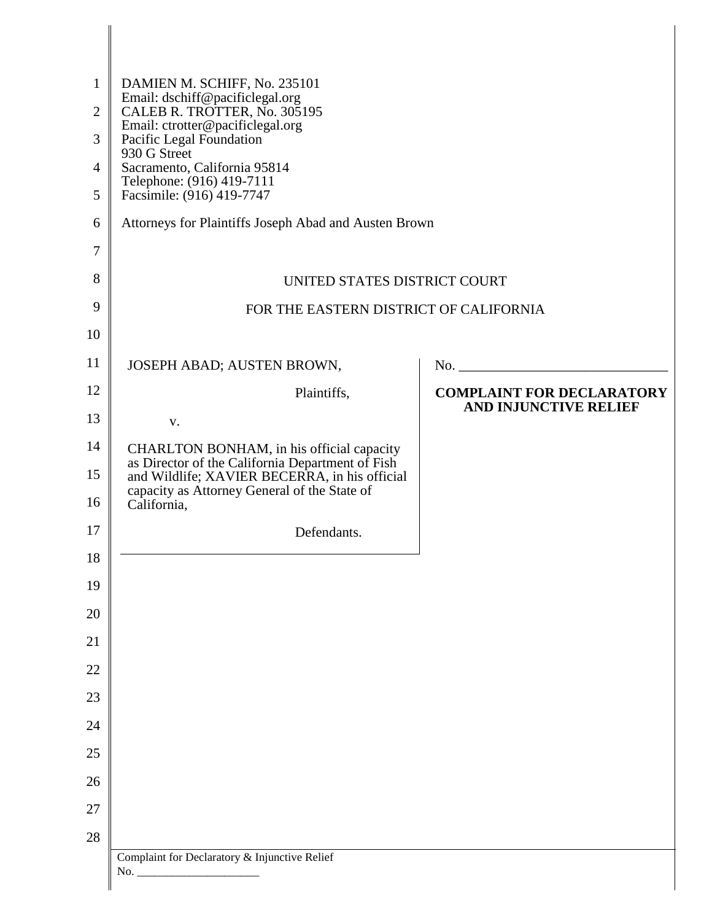| 1<br>$\overline{2}$<br>3<br>4<br>5<br>6<br>$\overline{7}$<br>8<br>9 | DAMIEN M. SCHIFF, No. 235101<br>Email: dschiff@pacificlegal.org<br>CALEB R. TROTTER, No. 305195<br>Email: ctrotter@pacificlegal.org<br>Pacific Legal Foundation<br>930 G Street<br>Sacramento, California 95814<br>Telephone: (916) 419-7111<br>Facsimile: (916) 419-7747<br>Attorneys for Plaintiffs Joseph Abad and Austen Brown<br>UNITED STATES DISTRICT COURT<br>FOR THE EASTERN DISTRICT OF CALIFORNIA |                                  |
|---------------------------------------------------------------------|--------------------------------------------------------------------------------------------------------------------------------------------------------------------------------------------------------------------------------------------------------------------------------------------------------------------------------------------------------------------------------------------------------------|----------------------------------|
| 10                                                                  |                                                                                                                                                                                                                                                                                                                                                                                                              |                                  |
| 11                                                                  | JOSEPH ABAD; AUSTEN BROWN,                                                                                                                                                                                                                                                                                                                                                                                   |                                  |
| 12                                                                  | Plaintiffs,                                                                                                                                                                                                                                                                                                                                                                                                  | <b>COMPLAINT FOR DECLARATORY</b> |
| 13                                                                  | V.                                                                                                                                                                                                                                                                                                                                                                                                           | <b>AND INJUNCTIVE RELIEF</b>     |
| 14                                                                  | CHARLTON BONHAM, in his official capacity                                                                                                                                                                                                                                                                                                                                                                    |                                  |
| 15<br>16                                                            | as Director of the California Department of Fish<br>and Wildlife; XAVIER BECERRA, in his official<br>capacity as Attorney General of the State of<br>California,                                                                                                                                                                                                                                             |                                  |
| 17                                                                  | Defendants.                                                                                                                                                                                                                                                                                                                                                                                                  |                                  |
| 18                                                                  |                                                                                                                                                                                                                                                                                                                                                                                                              |                                  |
| 19                                                                  |                                                                                                                                                                                                                                                                                                                                                                                                              |                                  |
| 20                                                                  |                                                                                                                                                                                                                                                                                                                                                                                                              |                                  |
| 21                                                                  |                                                                                                                                                                                                                                                                                                                                                                                                              |                                  |
| 22                                                                  |                                                                                                                                                                                                                                                                                                                                                                                                              |                                  |
| 23                                                                  |                                                                                                                                                                                                                                                                                                                                                                                                              |                                  |
| 24                                                                  |                                                                                                                                                                                                                                                                                                                                                                                                              |                                  |
| 25                                                                  |                                                                                                                                                                                                                                                                                                                                                                                                              |                                  |
| 26                                                                  |                                                                                                                                                                                                                                                                                                                                                                                                              |                                  |
| 27                                                                  |                                                                                                                                                                                                                                                                                                                                                                                                              |                                  |
| 28                                                                  | Complaint for Declaratory & Injunctive Relief<br>No.                                                                                                                                                                                                                                                                                                                                                         |                                  |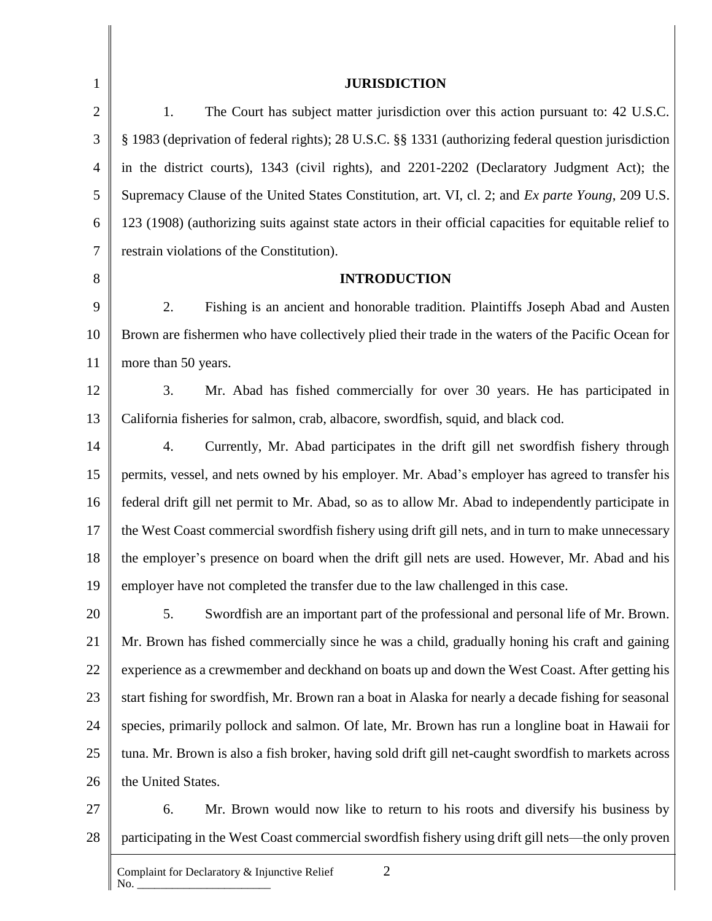| $\mathbf{1}$   | <b>JURISDICTION</b>                                                                                     |
|----------------|---------------------------------------------------------------------------------------------------------|
| $\overline{2}$ | 1.<br>The Court has subject matter jurisdiction over this action pursuant to: 42 U.S.C.                 |
| 3              | § 1983 (deprivation of federal rights); 28 U.S.C. §§ 1331 (authorizing federal question jurisdiction    |
| $\overline{4}$ | in the district courts), 1343 (civil rights), and 2201-2202 (Declaratory Judgment Act); the             |
| 5              | Supremacy Clause of the United States Constitution, art. VI, cl. 2; and Ex parte Young, 209 U.S.        |
| 6              | 123 (1908) (authorizing suits against state actors in their official capacities for equitable relief to |
| 7              | restrain violations of the Constitution).                                                               |
| 8              | <b>INTRODUCTION</b>                                                                                     |
| 9              | 2.<br>Fishing is an ancient and honorable tradition. Plaintiffs Joseph Abad and Austen                  |
| 10             | Brown are fishermen who have collectively plied their trade in the waters of the Pacific Ocean for      |
| 11             | more than 50 years.                                                                                     |
| 12             | 3.<br>Mr. Abad has fished commercially for over 30 years. He has participated in                        |
| 13             | California fisheries for salmon, crab, albacore, swordfish, squid, and black cod.                       |
| 14             | 4.<br>Currently, Mr. Abad participates in the drift gill net swordfish fishery through                  |
| 15             | permits, vessel, and nets owned by his employer. Mr. Abad's employer has agreed to transfer his         |
| 16             | federal drift gill net permit to Mr. Abad, so as to allow Mr. Abad to independently participate in      |
| 17             | the West Coast commercial swordfish fishery using drift gill nets, and in turn to make unnecessary      |
| 18             | the employer's presence on board when the drift gill nets are used. However, Mr. Abad and his           |
| 19             | employer have not completed the transfer due to the law challenged in this case.                        |
| 20             | Swordfish are an important part of the professional and personal life of Mr. Brown.<br>5.               |
| 21             | Mr. Brown has fished commercially since he was a child, gradually honing his craft and gaining          |
| 22             | experience as a crewmember and deckhand on boats up and down the West Coast. After getting his          |
| 23             | start fishing for swordfish, Mr. Brown ran a boat in Alaska for nearly a decade fishing for seasonal    |
| 24             | species, primarily pollock and salmon. Of late, Mr. Brown has run a longline boat in Hawaii for         |
| 25             | tuna. Mr. Brown is also a fish broker, having sold drift gill net-caught swordfish to markets across    |
| 26             | the United States.                                                                                      |
| 27             | 6.<br>Mr. Brown would now like to return to his roots and diversify his business by                     |
| 28             | participating in the West Coast commercial swordfish fishery using drift gill nets—the only proven      |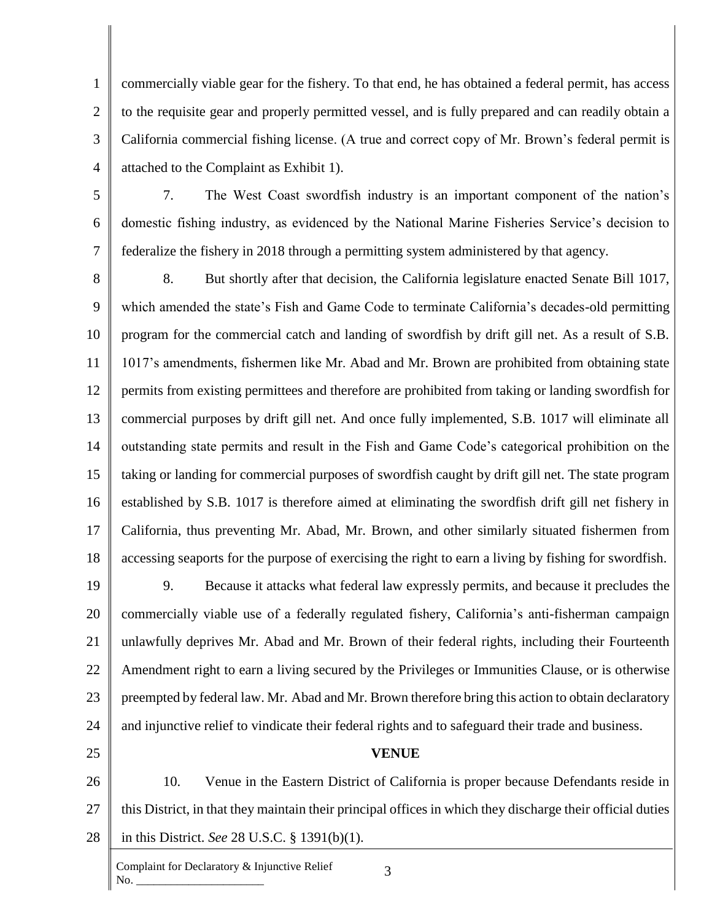1 2 3 4 commercially viable gear for the fishery. To that end, he has obtained a federal permit, has access to the requisite gear and properly permitted vessel, and is fully prepared and can readily obtain a California commercial fishing license. (A true and correct copy of Mr. Brown's federal permit is attached to the Complaint as Exhibit 1).

5

6

7

7. The West Coast swordfish industry is an important component of the nation's domestic fishing industry, as evidenced by the National Marine Fisheries Service's decision to federalize the fishery in 2018 through a permitting system administered by that agency.

8 9 10 11 12 13 14 15 16 17 18 8. But shortly after that decision, the California legislature enacted Senate Bill 1017, which amended the state's Fish and Game Code to terminate California's decades-old permitting program for the commercial catch and landing of swordfish by drift gill net. As a result of S.B. 1017's amendments, fishermen like Mr. Abad and Mr. Brown are prohibited from obtaining state permits from existing permittees and therefore are prohibited from taking or landing swordfish for commercial purposes by drift gill net. And once fully implemented, S.B. 1017 will eliminate all outstanding state permits and result in the Fish and Game Code's categorical prohibition on the taking or landing for commercial purposes of swordfish caught by drift gill net. The state program established by S.B. 1017 is therefore aimed at eliminating the swordfish drift gill net fishery in California, thus preventing Mr. Abad, Mr. Brown, and other similarly situated fishermen from accessing seaports for the purpose of exercising the right to earn a living by fishing for swordfish.

19 20 21 22 23 24 9. Because it attacks what federal law expressly permits, and because it precludes the commercially viable use of a federally regulated fishery, California's anti-fisherman campaign unlawfully deprives Mr. Abad and Mr. Brown of their federal rights, including their Fourteenth Amendment right to earn a living secured by the Privileges or Immunities Clause, or is otherwise preempted by federal law. Mr. Abad and Mr. Brown therefore bring this action to obtain declaratory and injunctive relief to vindicate their federal rights and to safeguard their trade and business.

25

#### 26 27 28 10. Venue in the Eastern District of California is proper because Defendants reside in this District, in that they maintain their principal offices in which they discharge their official duties in this District. *See* 28 U.S.C. § 1391(b)(1).

**VENUE**

Complaint for Declaratory & Injunctive Relief  $No.$ 

3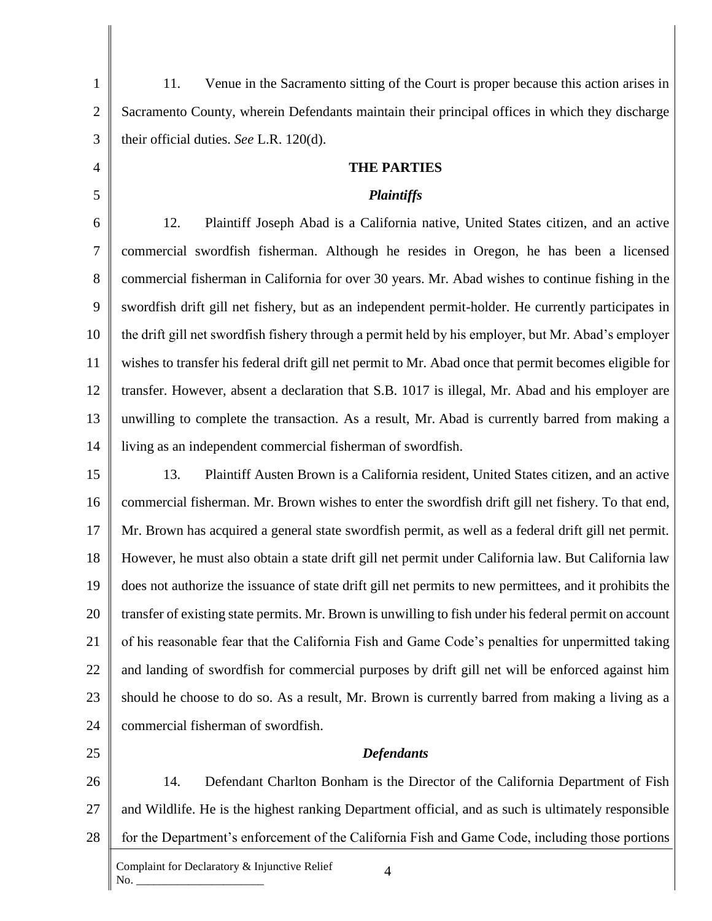1 2 3 11. Venue in the Sacramento sitting of the Court is proper because this action arises in Sacramento County, wherein Defendants maintain their principal offices in which they discharge their official duties. *See* L.R. 120(d).

# **THE PARTIES**

# *Plaintiffs*

6 7 8 9 10 11 12 13 14 12. Plaintiff Joseph Abad is a California native, United States citizen, and an active commercial swordfish fisherman. Although he resides in Oregon, he has been a licensed commercial fisherman in California for over 30 years. Mr. Abad wishes to continue fishing in the swordfish drift gill net fishery, but as an independent permit-holder. He currently participates in the drift gill net swordfish fishery through a permit held by his employer, but Mr. Abad's employer wishes to transfer his federal drift gill net permit to Mr. Abad once that permit becomes eligible for transfer. However, absent a declaration that S.B. 1017 is illegal, Mr. Abad and his employer are unwilling to complete the transaction. As a result, Mr. Abad is currently barred from making a living as an independent commercial fisherman of swordfish.

15 16 17 18 19 20 21 22 23 24 13. Plaintiff Austen Brown is a California resident, United States citizen, and an active commercial fisherman. Mr. Brown wishes to enter the swordfish drift gill net fishery. To that end, Mr. Brown has acquired a general state swordfish permit, as well as a federal drift gill net permit. However, he must also obtain a state drift gill net permit under California law. But California law does not authorize the issuance of state drift gill net permits to new permittees, and it prohibits the transfer of existing state permits. Mr. Brown is unwilling to fish under his federal permit on account of his reasonable fear that the California Fish and Game Code's penalties for unpermitted taking and landing of swordfish for commercial purposes by drift gill net will be enforced against him should he choose to do so. As a result, Mr. Brown is currently barred from making a living as a commercial fisherman of swordfish.

25

 $No.$ 

4

5

### *Defendants*

26 27 28 Complaint for Declaratory & Injunctive Relief 14. Defendant Charlton Bonham is the Director of the California Department of Fish and Wildlife. He is the highest ranking Department official, and as such is ultimately responsible for the Department's enforcement of the California Fish and Game Code, including those portions

4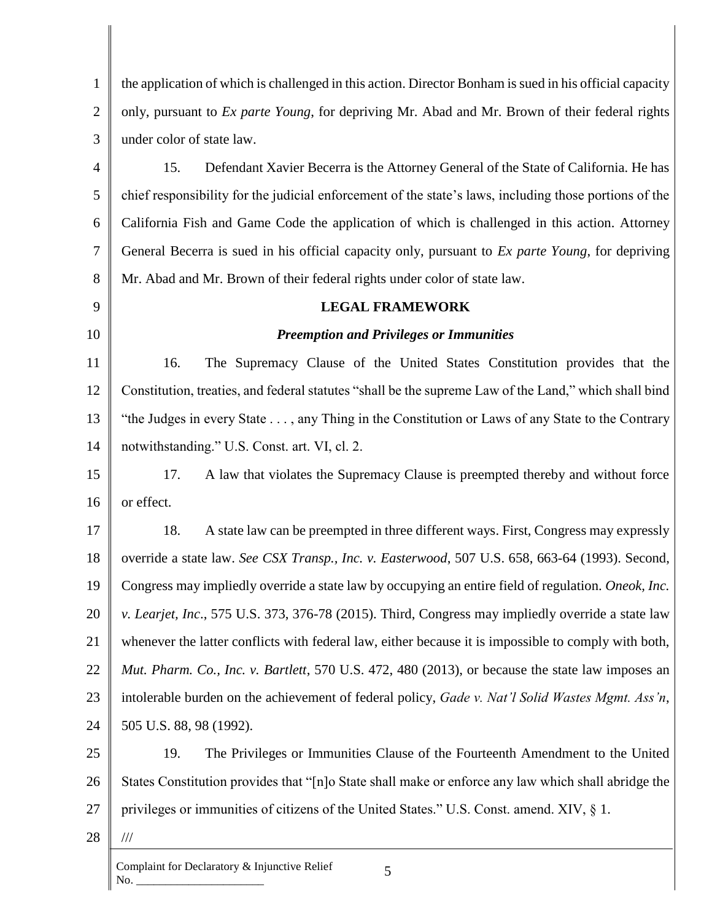1 2 3 4 5 6 7 8 9 10 11 12 13 14 15 16 17 18 19 20 21 22 23 24 25 26 27 28 Complaint for Declaratory & Injunctive Relief  $No.$ 5 the application of which is challenged in this action. Director Bonham is sued in his official capacity only, pursuant to *Ex parte Young*, for depriving Mr. Abad and Mr. Brown of their federal rights under color of state law. 15. Defendant Xavier Becerra is the Attorney General of the State of California. He has chief responsibility for the judicial enforcement of the state's laws, including those portions of the California Fish and Game Code the application of which is challenged in this action. Attorney General Becerra is sued in his official capacity only, pursuant to *Ex parte Young*, for depriving Mr. Abad and Mr. Brown of their federal rights under color of state law. **LEGAL FRAMEWORK** *Preemption and Privileges or Immunities* 16. The Supremacy Clause of the United States Constitution provides that the Constitution, treaties, and federal statutes "shall be the supreme Law of the Land," which shall bind "the Judges in every State . . . , any Thing in the Constitution or Laws of any State to the Contrary notwithstanding." U.S. Const. art. VI, cl. 2. 17. A law that violates the Supremacy Clause is preempted thereby and without force or effect. 18. A state law can be preempted in three different ways. First, Congress may expressly override a state law. *See CSX Transp., Inc. v. Easterwood*, 507 U.S. 658, 663-64 (1993). Second, Congress may impliedly override a state law by occupying an entire field of regulation. *Oneok, Inc. v. Learjet, Inc*., 575 U.S. 373, 376-78 (2015). Third, Congress may impliedly override a state law whenever the latter conflicts with federal law, either because it is impossible to comply with both, *Mut. Pharm. Co., Inc. v. Bartlett*, 570 U.S. 472, 480 (2013), or because the state law imposes an intolerable burden on the achievement of federal policy, *Gade v. Nat'l Solid Wastes Mgmt. Ass'n*, 505 U.S. 88, 98 (1992). 19. The Privileges or Immunities Clause of the Fourteenth Amendment to the United States Constitution provides that "[n]o State shall make or enforce any law which shall abridge the privileges or immunities of citizens of the United States." U.S. Const. amend. XIV, § 1. ///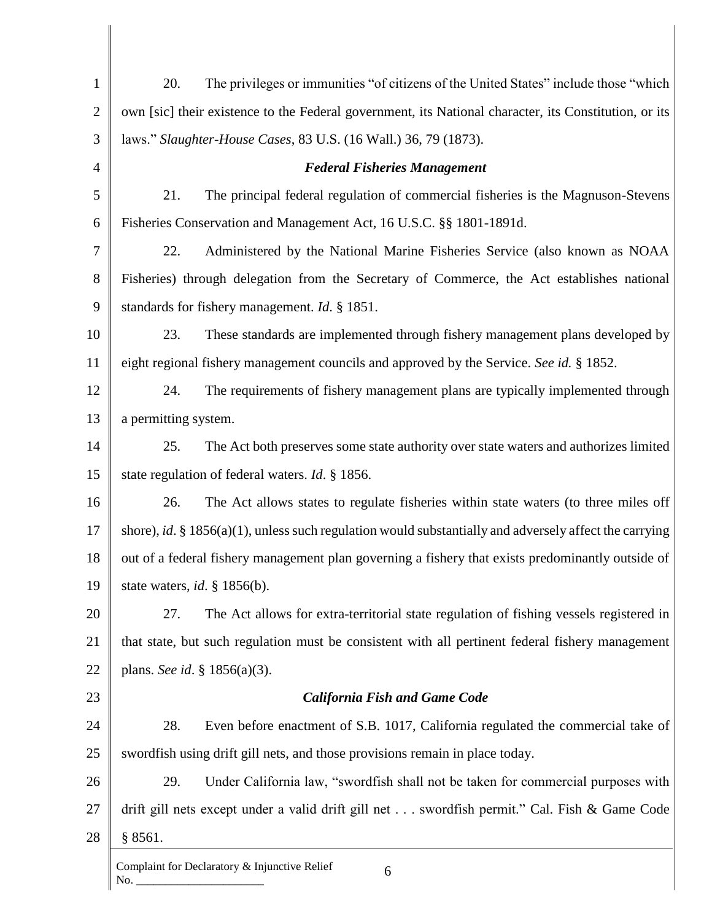| $\mathbf{1}$   | 20.                  | The privileges or immunities "of citizens of the United States" include those "which                       |
|----------------|----------------------|------------------------------------------------------------------------------------------------------------|
| $\overline{2}$ |                      | own [sic] their existence to the Federal government, its National character, its Constitution, or its      |
| 3              |                      | laws." Slaughter-House Cases, 83 U.S. (16 Wall.) 36, 79 (1873).                                            |
| $\overline{4}$ |                      | <b>Federal Fisheries Management</b>                                                                        |
| 5              | 21.                  | The principal federal regulation of commercial fisheries is the Magnuson-Stevens                           |
| 6              |                      | Fisheries Conservation and Management Act, 16 U.S.C. §§ 1801-1891d.                                        |
| $\overline{7}$ | 22.                  | Administered by the National Marine Fisheries Service (also known as NOAA                                  |
| 8              |                      | Fisheries) through delegation from the Secretary of Commerce, the Act establishes national                 |
| 9              |                      | standards for fishery management. <i>Id.</i> § 1851.                                                       |
| 10             | 23.                  | These standards are implemented through fishery management plans developed by                              |
| 11             |                      | eight regional fishery management councils and approved by the Service. See id. § 1852.                    |
| 12             | 24.                  | The requirements of fishery management plans are typically implemented through                             |
| 13             | a permitting system. |                                                                                                            |
| 14             | 25.                  | The Act both preserves some state authority over state waters and authorizes limited                       |
| 15             |                      | state regulation of federal waters. <i>Id.</i> § 1856.                                                     |
| 16             | 26.                  | The Act allows states to regulate fisheries within state waters (to three miles off                        |
| 17             |                      | shore), id. $\S 1856(a)(1)$ , unless such regulation would substantially and adversely affect the carrying |
| 18             |                      | out of a federal fishery management plan governing a fishery that exists predominantly outside of          |
| 19             |                      | state waters, <i>id.</i> $\S$ 1856(b).                                                                     |
| 20             | 27.                  | The Act allows for extra-territorial state regulation of fishing vessels registered in                     |
| 21             |                      | that state, but such regulation must be consistent with all pertinent federal fishery management           |
| 22             |                      | plans. See id. $\S 1856(a)(3)$ .                                                                           |
| 23             |                      | <b>California Fish and Game Code</b>                                                                       |
| 24             | 28.                  | Even before enactment of S.B. 1017, California regulated the commercial take of                            |
| 25             |                      | swordfish using drift gill nets, and those provisions remain in place today.                               |
| 26             | 29.                  | Under California law, "swordfish shall not be taken for commercial purposes with                           |
| 27             |                      | drift gill nets except under a valid drift gill net swordfish permit." Cal. Fish & Game Code               |
| 28             | § 8561.              |                                                                                                            |
|                |                      | Complaint for Declaratory & Injunctive Relief<br>6                                                         |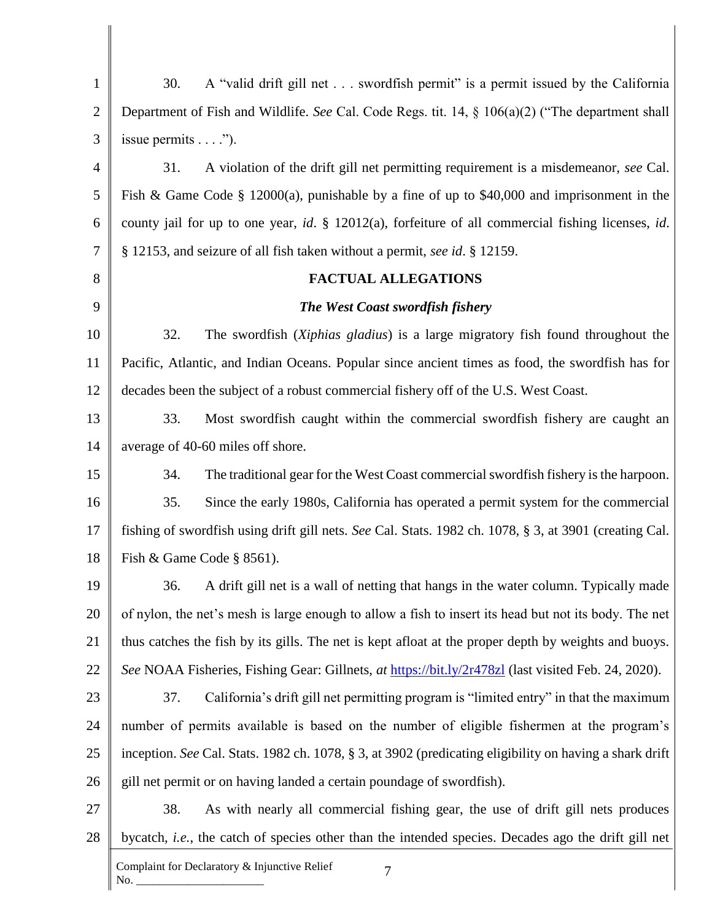| $\mathbf{1}$   | 30.                        | A "valid drift gill net swordfish permit" is a permit issued by the California                          |
|----------------|----------------------------|---------------------------------------------------------------------------------------------------------|
| $\overline{2}$ |                            | Department of Fish and Wildlife. See Cal. Code Regs. tit. 14, $\S$ 106(a)(2) ("The department shall     |
| 3              | issue permits $\dots$ ."). |                                                                                                         |
| $\overline{4}$ | 31.                        | A violation of the drift gill net permitting requirement is a misdemeanor, see Cal.                     |
| 5              |                            | Fish & Game Code § 12000(a), punishable by a fine of up to \$40,000 and imprisonment in the             |
| 6              |                            | county jail for up to one year, id. § 12012(a), forfeiture of all commercial fishing licenses, id.      |
| $\overline{7}$ |                            | § 12153, and seizure of all fish taken without a permit, see id. § 12159.                               |
| 8              |                            | <b>FACTUAL ALLEGATIONS</b>                                                                              |
| 9              |                            | The West Coast swordfish fishery                                                                        |
| 10             | 32.                        | The swordfish (Xiphias gladius) is a large migratory fish found throughout the                          |
| 11             |                            | Pacific, Atlantic, and Indian Oceans. Popular since ancient times as food, the swordfish has for        |
| 12             |                            | decades been the subject of a robust commercial fishery off of the U.S. West Coast.                     |
| 13             | 33.                        | Most swordfish caught within the commercial swordfish fishery are caught an                             |
| 14             |                            | average of 40-60 miles off shore.                                                                       |
| 15             | 34.                        | The traditional gear for the West Coast commercial swordfish fishery is the harpoon.                    |
| 16             | 35.                        | Since the early 1980s, California has operated a permit system for the commercial                       |
| 17             |                            | fishing of swordfish using drift gill nets. See Cal. Stats. 1982 ch. 1078, § 3, at 3901 (creating Cal.  |
| 18             |                            | Fish & Game Code $\S$ 8561).                                                                            |
| 19             | 36.                        | A drift gill net is a wall of netting that hangs in the water column. Typically made                    |
| 20             |                            | of nylon, the net's mesh is large enough to allow a fish to insert its head but not its body. The net   |
| 21             |                            | thus catches the fish by its gills. The net is kept afloat at the proper depth by weights and buoys.    |
| 22             |                            | See NOAA Fisheries, Fishing Gear: Gillnets, at https://bit.ly/2r478zl (last visited Feb. 24, 2020).     |
| 23             | 37.                        | California's drift gill net permitting program is "limited entry" in that the maximum                   |
| 24             |                            | number of permits available is based on the number of eligible fishermen at the program's               |
| 25             |                            | inception. See Cal. Stats. 1982 ch. 1078, § 3, at 3902 (predicating eligibility on having a shark drift |
| 26             |                            | gill net permit or on having landed a certain poundage of swordfish).                                   |
| 27             | 38.                        | As with nearly all commercial fishing gear, the use of drift gill nets produces                         |
| 28             |                            | bycatch, i.e., the catch of species other than the intended species. Decades ago the drift gill net     |
|                | No.                        | Complaint for Declaratory & Injunctive Relief<br>7                                                      |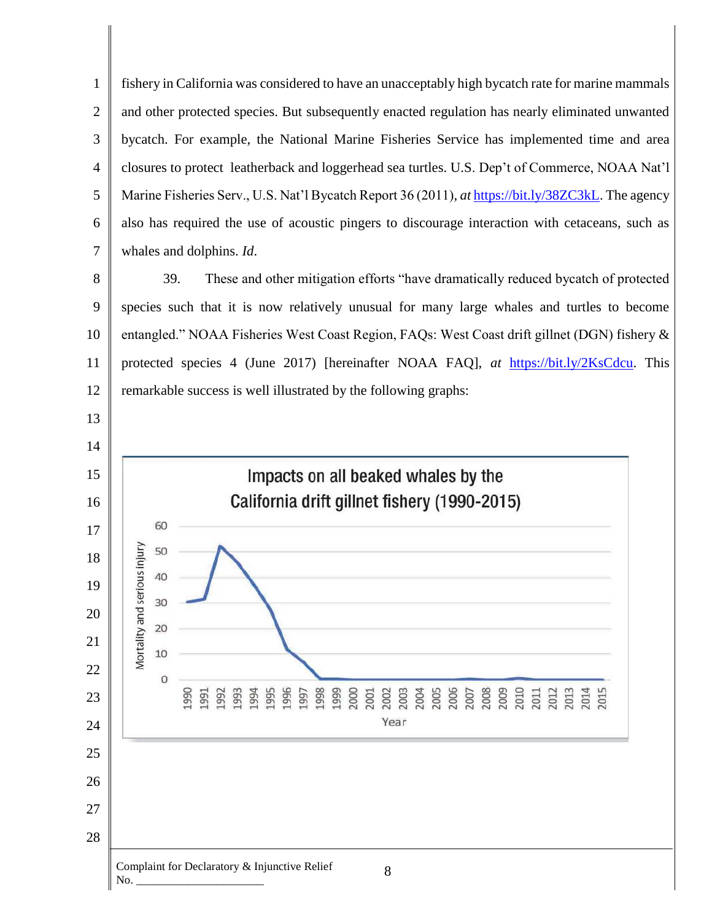fishery in California was considered to have an unacceptably high bycatch rate for marine mammals and other protected species. But subsequently enacted regulation has nearly eliminated unwanted bycatch. For example, the National Marine Fisheries Service has implemented time and area closures to protect leatherback and loggerhead sea turtles. U.S. Dep't of Commerce, NOAA Nat'l Marine Fisheries Serv., U.S. Nat'l Bycatch Report 36 (2011), *at* [https://bit.ly/38ZC3kL.](https://bit.ly/38ZC3kL) The agency also has required the use of acoustic pingers to discourage interaction with cetaceans, such as whales and dolphins. *Id*.

 39. These and other mitigation efforts "have dramatically reduced bycatch of protected species such that it is now relatively unusual for many large whales and turtles to become entangled." NOAA Fisheries West Coast Region, FAQs: West Coast drift gillnet (DGN) fishery & protected species 4 (June 2017) [hereinafter NOAA FAQ], *at* [https://bit.ly/2KsCdcu.](https://bit.ly/2KsCdcu) This remarkable success is well illustrated by the following graphs:

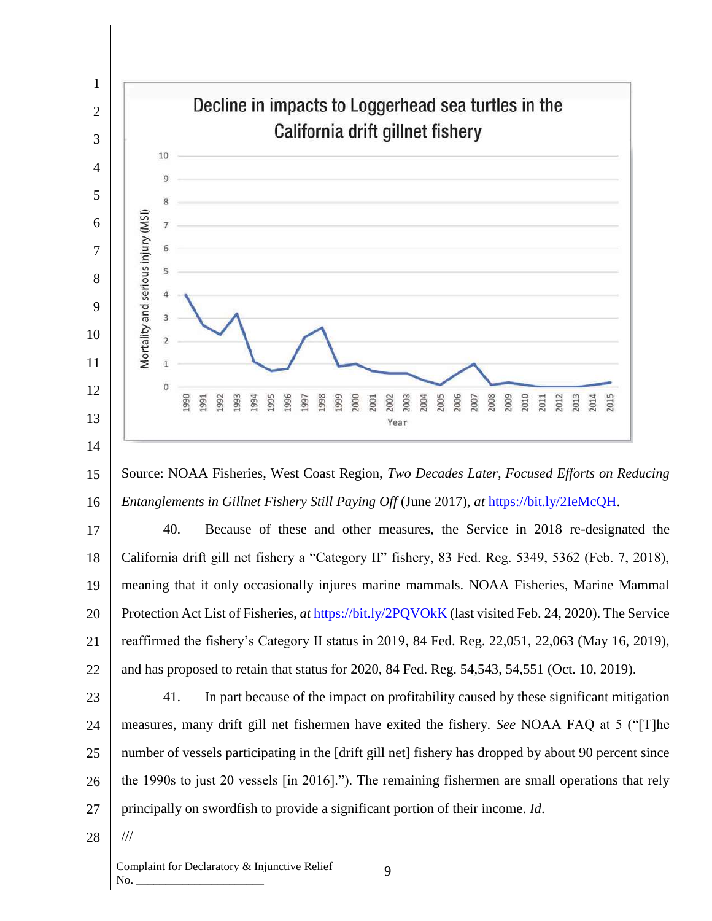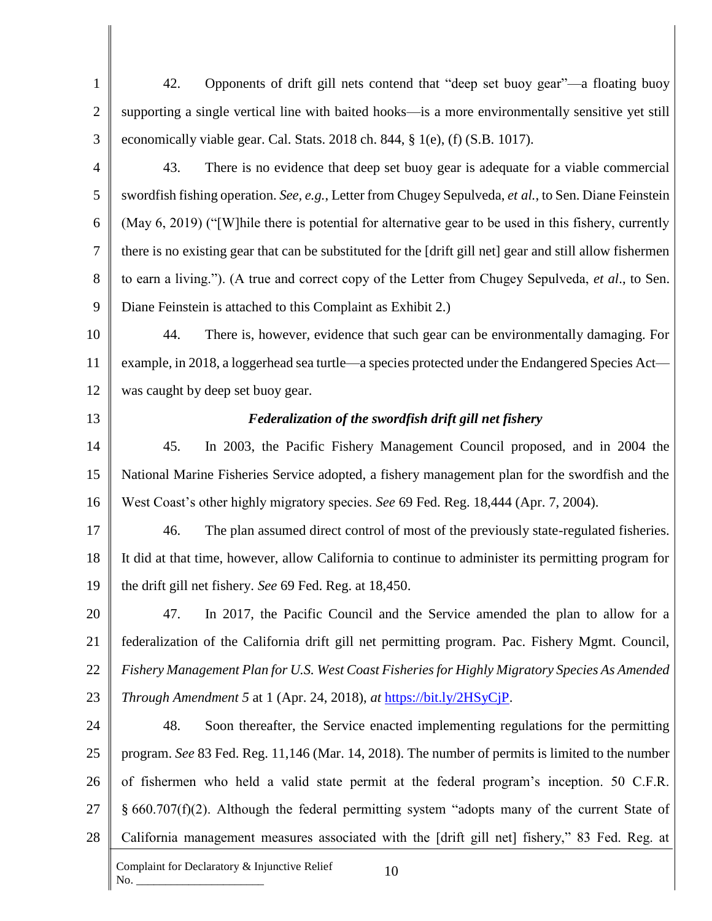1 2 3 4 5 6 7 8 9 10 11 12 13 14 15 16 17 18 19 20 21 22 23 24 25 26 27 28 Complaint for Declaratory & Injunctive Relief 10 42. Opponents of drift gill nets contend that "deep set buoy gear"—a floating buoy supporting a single vertical line with baited hooks—is a more environmentally sensitive yet still economically viable gear. Cal. Stats. 2018 ch. 844, § 1(e), (f) (S.B. 1017). 43. There is no evidence that deep set buoy gear is adequate for a viable commercial swordfish fishing operation. *See, e.g.*, Letter from Chugey Sepulveda, *et al.*, to Sen. Diane Feinstein (May 6, 2019) ("[W]hile there is potential for alternative gear to be used in this fishery, currently there is no existing gear that can be substituted for the [drift gill net] gear and still allow fishermen to earn a living."). (A true and correct copy of the Letter from Chugey Sepulveda, *et al*., to Sen. Diane Feinstein is attached to this Complaint as Exhibit 2.) 44. There is, however, evidence that such gear can be environmentally damaging. For example, in 2018, a loggerhead sea turtle—a species protected under the Endangered Species Act was caught by deep set buoy gear. *Federalization of the swordfish drift gill net fishery* 45. In 2003, the Pacific Fishery Management Council proposed, and in 2004 the National Marine Fisheries Service adopted, a fishery management plan for the swordfish and the West Coast's other highly migratory species. *See* 69 Fed. Reg. 18,444 (Apr. 7, 2004). 46. The plan assumed direct control of most of the previously state-regulated fisheries. It did at that time, however, allow California to continue to administer its permitting program for the drift gill net fishery. *See* 69 Fed. Reg. at 18,450. 47. In 2017, the Pacific Council and the Service amended the plan to allow for a federalization of the California drift gill net permitting program. Pac. Fishery Mgmt. Council, *Fishery Management Plan for U.S. West Coast Fisheries for Highly Migratory Species As Amended Through Amendment 5* at 1 (Apr. 24, 2018), *at* [https://bit.ly/2HSyCjP.](https://bit.ly/2HSyCjP) 48. Soon thereafter, the Service enacted implementing regulations for the permitting program. *See* 83 Fed. Reg. 11,146 (Mar. 14, 2018). The number of permits is limited to the number of fishermen who held a valid state permit at the federal program's inception. 50 C.F.R. § 660.707(f)(2). Although the federal permitting system "adopts many of the current State of California management measures associated with the [drift gill net] fishery," 83 Fed. Reg. at

 $No.$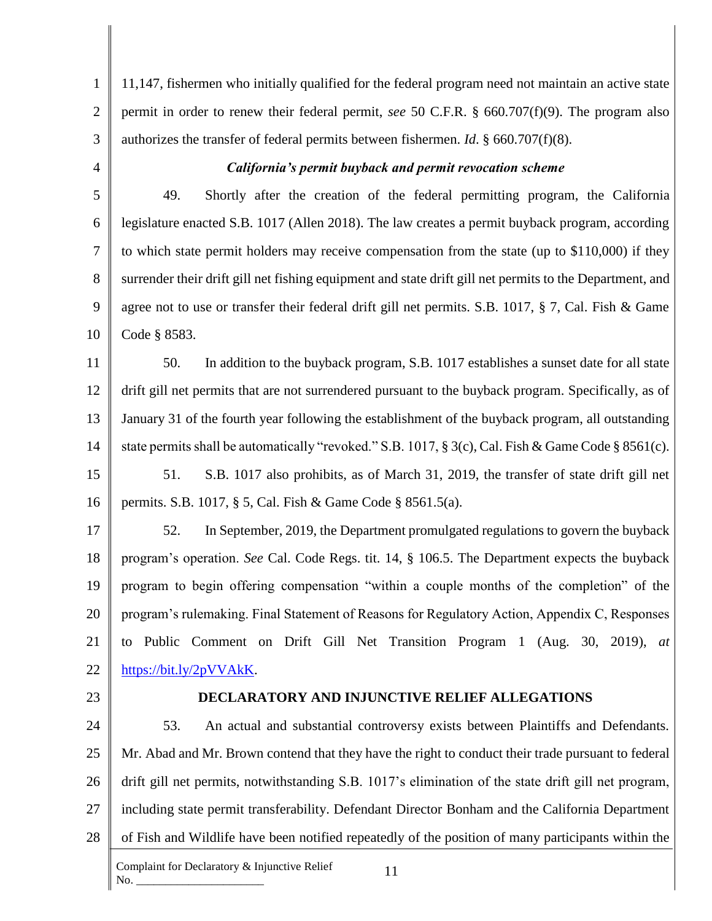1 2 3 11,147, fishermen who initially qualified for the federal program need not maintain an active state permit in order to renew their federal permit, *see* 50 C.F.R. § 660.707(f)(9). The program also authorizes the transfer of federal permits between fishermen. *Id*. § 660.707(f)(8).

4

## *California's permit buyback and permit revocation scheme*

5 6 7 8 9 10 49. Shortly after the creation of the federal permitting program, the California legislature enacted S.B. 1017 (Allen 2018). The law creates a permit buyback program, according to which state permit holders may receive compensation from the state (up to \$110,000) if they surrender their drift gill net fishing equipment and state drift gill net permits to the Department, and agree not to use or transfer their federal drift gill net permits. S.B. 1017, § 7, Cal. Fish & Game Code § 8583.

11 12 13 14 50. In addition to the buyback program, S.B. 1017 establishes a sunset date for all state drift gill net permits that are not surrendered pursuant to the buyback program. Specifically, as of January 31 of the fourth year following the establishment of the buyback program, all outstanding state permits shall be automatically "revoked." S.B. 1017,  $\S 3(c)$ , Cal. Fish & Game Code  $\S 8561(c)$ .

15 16 51. S.B. 1017 also prohibits, as of March 31, 2019, the transfer of state drift gill net permits. S.B. 1017, § 5, Cal. Fish & Game Code § 8561.5(a).

17 18 19 20 21 22 52. In September, 2019, the Department promulgated regulations to govern the buyback program's operation. *See* Cal. Code Regs. tit. 14, § 106.5. The Department expects the buyback program to begin offering compensation "within a couple months of the completion" of the program's rulemaking. Final Statement of Reasons for Regulatory Action, Appendix C, Responses to Public Comment on Drift Gill Net Transition Program 1 (Aug. 30, 2019), *at* [https://bit.ly/2pVVAkK.](https://bit.ly/2pVVAkK)

23

 $No.$ 

### **DECLARATORY AND INJUNCTIVE RELIEF ALLEGATIONS**

24 25 26 27 28 53. An actual and substantial controversy exists between Plaintiffs and Defendants. Mr. Abad and Mr. Brown contend that they have the right to conduct their trade pursuant to federal drift gill net permits, notwithstanding S.B. 1017's elimination of the state drift gill net program, including state permit transferability. Defendant Director Bonham and the California Department of Fish and Wildlife have been notified repeatedly of the position of many participants within the

Complaint for Declaratory & Injunctive Relief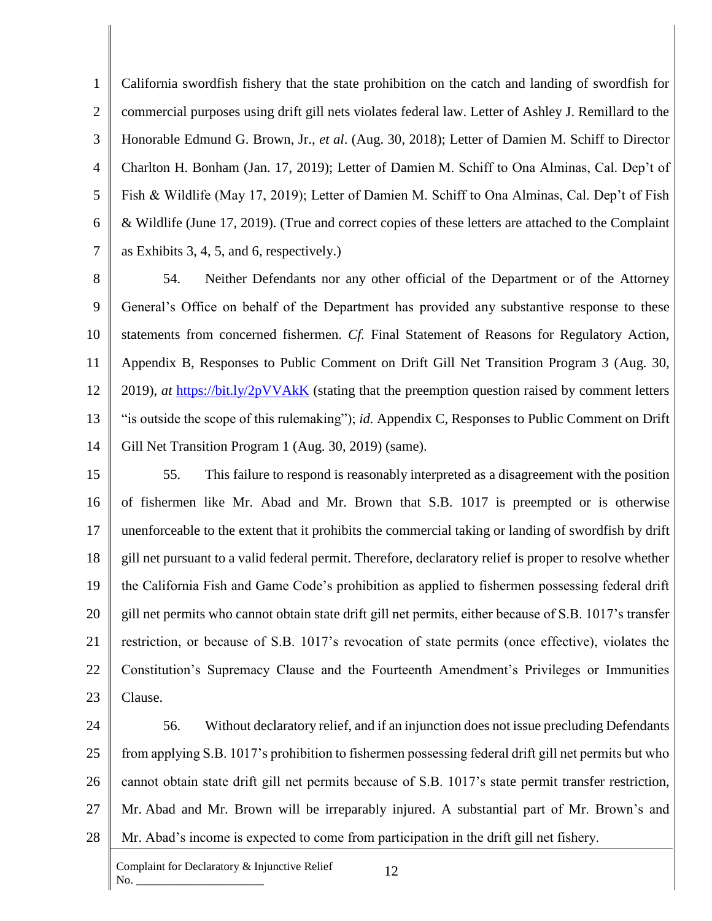1 2 3 4 5 6 7 California swordfish fishery that the state prohibition on the catch and landing of swordfish for commercial purposes using drift gill nets violates federal law. Letter of Ashley J. Remillard to the Honorable Edmund G. Brown, Jr., *et al*. (Aug. 30, 2018); Letter of Damien M. Schiff to Director Charlton H. Bonham (Jan. 17, 2019); Letter of Damien M. Schiff to Ona Alminas, Cal. Dep't of Fish & Wildlife (May 17, 2019); Letter of Damien M. Schiff to Ona Alminas, Cal. Dep't of Fish & Wildlife (June 17, 2019). (True and correct copies of these letters are attached to the Complaint as Exhibits 3, 4, 5, and 6, respectively.)

8 9 10 11 12 13 14 54. Neither Defendants nor any other official of the Department or of the Attorney General's Office on behalf of the Department has provided any substantive response to these statements from concerned fishermen. *Cf.* Final Statement of Reasons for Regulatory Action, Appendix B, Responses to Public Comment on Drift Gill Net Transition Program 3 (Aug. 30, 2019), *at* <https://bit.ly/2pVVAkK> (stating that the preemption question raised by comment letters "is outside the scope of this rulemaking"); *id.* Appendix C, Responses to Public Comment on Drift Gill Net Transition Program 1 (Aug. 30, 2019) (same).

15 16 17 18 19 20 21 22 23 55. This failure to respond is reasonably interpreted as a disagreement with the position of fishermen like Mr. Abad and Mr. Brown that S.B. 1017 is preempted or is otherwise unenforceable to the extent that it prohibits the commercial taking or landing of swordfish by drift gill net pursuant to a valid federal permit. Therefore, declaratory relief is proper to resolve whether the California Fish and Game Code's prohibition as applied to fishermen possessing federal drift gill net permits who cannot obtain state drift gill net permits, either because of S.B. 1017's transfer restriction, or because of S.B. 1017's revocation of state permits (once effective), violates the Constitution's Supremacy Clause and the Fourteenth Amendment's Privileges or Immunities Clause.

24 25 26 27 28 56. Without declaratory relief, and if an injunction does not issue precluding Defendants from applying S.B. 1017's prohibition to fishermen possessing federal drift gill net permits but who cannot obtain state drift gill net permits because of S.B. 1017's state permit transfer restriction, Mr. Abad and Mr. Brown will be irreparably injured. A substantial part of Mr. Brown's and Mr. Abad's income is expected to come from participation in the drift gill net fishery.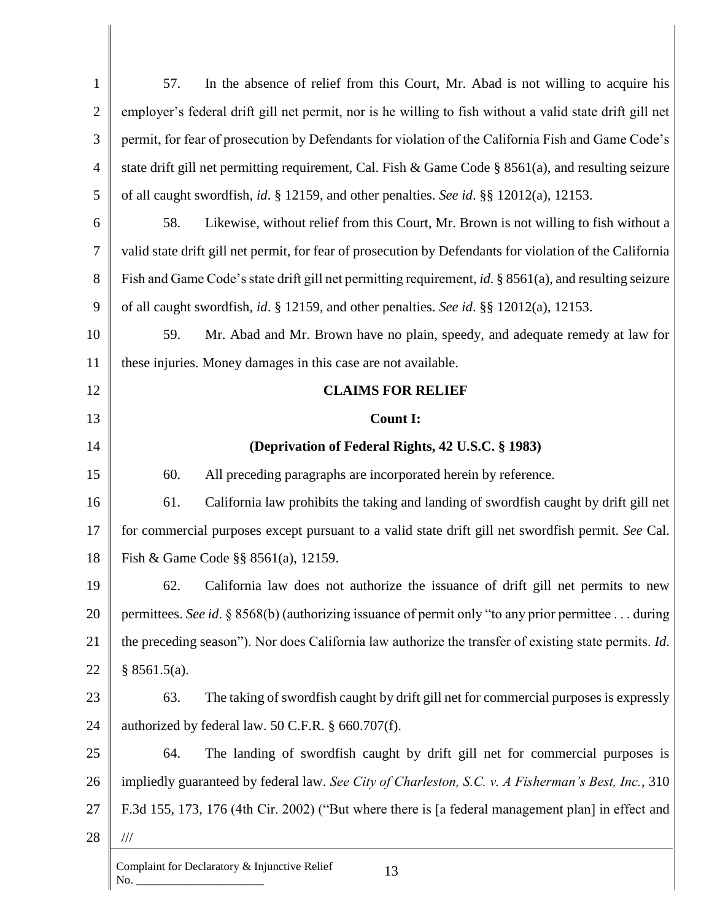| $\mathbf{1}$   | In the absence of relief from this Court, Mr. Abad is not willing to acquire his<br>57.                       |
|----------------|---------------------------------------------------------------------------------------------------------------|
| $\overline{2}$ | employer's federal drift gill net permit, nor is he willing to fish without a valid state drift gill net      |
| 3              | permit, for fear of prosecution by Defendants for violation of the California Fish and Game Code's            |
| $\overline{4}$ | state drift gill net permitting requirement, Cal. Fish & Game Code § 8561(a), and resulting seizure           |
| 5              | of all caught swordfish, id. § 12159, and other penalties. See id. §§ 12012(a), 12153.                        |
| 6              | Likewise, without relief from this Court, Mr. Brown is not willing to fish without a<br>58.                   |
| $\tau$         | valid state drift gill net permit, for fear of prosecution by Defendants for violation of the California      |
| 8              | Fish and Game Code's state drift gill net permitting requirement, <i>id.</i> § 8561(a), and resulting seizure |
| 9              | of all caught swordfish, id. § 12159, and other penalties. See id. §§ 12012(a), 12153.                        |
| 10             | 59.<br>Mr. Abad and Mr. Brown have no plain, speedy, and adequate remedy at law for                           |
| 11             | these injuries. Money damages in this case are not available.                                                 |
| 12             | <b>CLAIMS FOR RELIEF</b>                                                                                      |
| 13             | <b>Count I:</b>                                                                                               |
| 14             | (Deprivation of Federal Rights, 42 U.S.C. § 1983)                                                             |
| 15             | 60.<br>All preceding paragraphs are incorporated herein by reference.                                         |
| 16             | 61.<br>California law prohibits the taking and landing of swordfish caught by drift gill net                  |
| 17             | for commercial purposes except pursuant to a valid state drift gill net swordfish permit. See Cal.            |
| 18             | Fish & Game Code §§ 8561(a), 12159.                                                                           |
| 19             | 62. California law does not authorize the issuance of drift gill net permits to new                           |
| 20             | permittees. See id. § 8568(b) (authorizing issuance of permit only "to any prior permittee during             |
| 21             | the preceding season"). Nor does California law authorize the transfer of existing state permits. Id.         |
| 22             | § 8561.5(a).                                                                                                  |
| 23             | The taking of swordfish caught by drift gill net for commercial purposes is expressly<br>63.                  |
| 24             | authorized by federal law. 50 C.F.R. § 660.707(f).                                                            |
| 25             | 64.<br>The landing of swordfish caught by drift gill net for commercial purposes is                           |
| 26             | impliedly guaranteed by federal law. See City of Charleston, S.C. v. A Fisherman's Best, Inc., 310            |
| 27             | F.3d 155, 173, 176 (4th Cir. 2002) ("But where there is [a federal management plan] in effect and             |
| 28             | $\frac{1}{1}$                                                                                                 |
|                | Complaint for Declaratory & Injunctive Relief<br>13<br>No.                                                    |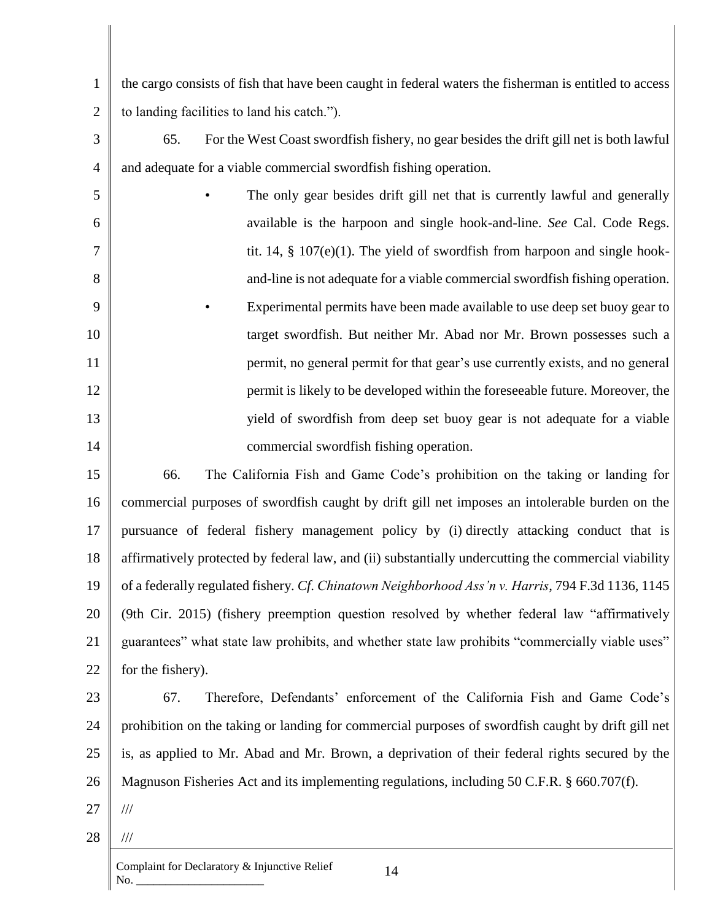1 2 the cargo consists of fish that have been caught in federal waters the fisherman is entitled to access to landing facilities to land his catch.").

- 3 4 65. For the West Coast swordfish fishery, no gear besides the drift gill net is both lawful and adequate for a viable commercial swordfish fishing operation.
- 5 6 7 8 9 10 11 12 13 14 The only gear besides drift gill net that is currently lawful and generally available is the harpoon and single hook-and-line. *See* Cal. Code Regs. tit. 14,  $\S$  107(e)(1). The yield of swordfish from harpoon and single hookand-line is not adequate for a viable commercial swordfish fishing operation. • Experimental permits have been made available to use deep set buoy gear to target swordfish. But neither Mr. Abad nor Mr. Brown possesses such a permit, no general permit for that gear's use currently exists, and no general permit is likely to be developed within the foreseeable future. Moreover, the yield of swordfish from deep set buoy gear is not adequate for a viable commercial swordfish fishing operation.

15 16 17 18 19 20 21 22 66. The California Fish and Game Code's prohibition on the taking or landing for commercial purposes of swordfish caught by drift gill net imposes an intolerable burden on the pursuance of federal fishery management policy by (i) directly attacking conduct that is affirmatively protected by federal law, and (ii) substantially undercutting the commercial viability of a federally regulated fishery. *Cf*. *Chinatown Neighborhood Ass'n v. Harris*, 794 F.3d 1136, 1145 (9th Cir. 2015) (fishery preemption question resolved by whether federal law "affirmatively guarantees" what state law prohibits, and whether state law prohibits "commercially viable uses" for the fishery).

- 23 24 25 26 27 67. Therefore, Defendants' enforcement of the California Fish and Game Code's prohibition on the taking or landing for commercial purposes of swordfish caught by drift gill net is, as applied to Mr. Abad and Mr. Brown, a deprivation of their federal rights secured by the Magnuson Fisheries Act and its implementing regulations, including 50 C.F.R. § 660.707(f). ///
- 28

///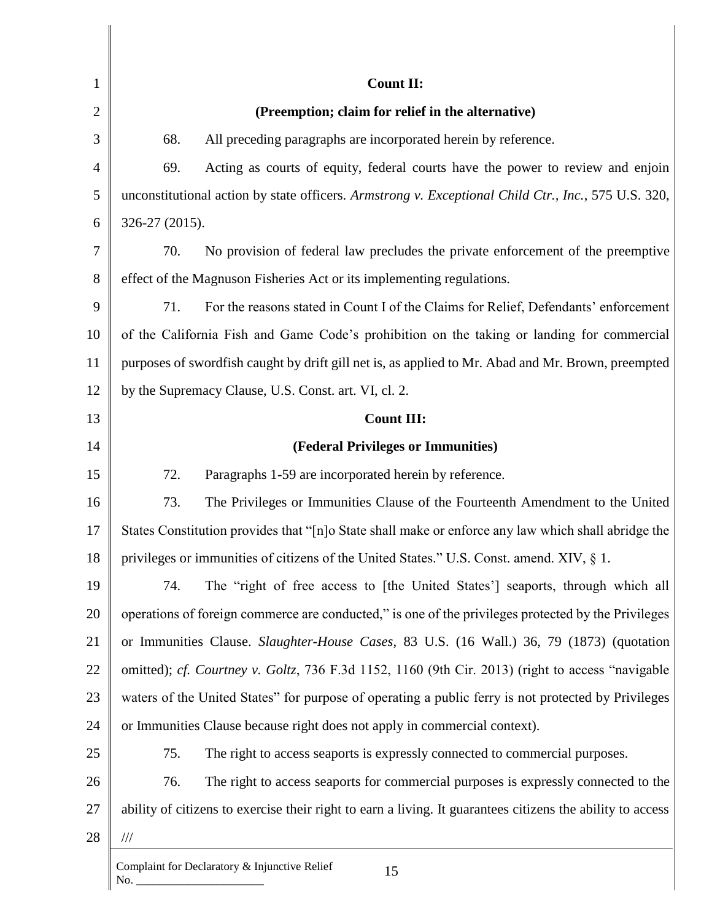| 1              | <b>Count II:</b>                                                                                           |
|----------------|------------------------------------------------------------------------------------------------------------|
| $\overline{2}$ | (Preemption; claim for relief in the alternative)                                                          |
| 3              | 68.<br>All preceding paragraphs are incorporated herein by reference.                                      |
| $\overline{4}$ | 69.<br>Acting as courts of equity, federal courts have the power to review and enjoin                      |
| 5              | unconstitutional action by state officers. Armstrong v. Exceptional Child Ctr., Inc., 575 U.S. 320,        |
| 6              | 326-27 (2015).                                                                                             |
| 7              | 70.<br>No provision of federal law precludes the private enforcement of the preemptive                     |
| 8              | effect of the Magnuson Fisheries Act or its implementing regulations.                                      |
| 9              | 71.<br>For the reasons stated in Count I of the Claims for Relief, Defendants' enforcement                 |
| 10             | of the California Fish and Game Code's prohibition on the taking or landing for commercial                 |
| 11             | purposes of swordfish caught by drift gill net is, as applied to Mr. Abad and Mr. Brown, preempted         |
| 12             | by the Supremacy Clause, U.S. Const. art. VI, cl. 2.                                                       |
| 13             | <b>Count III:</b>                                                                                          |
| 14             | (Federal Privileges or Immunities)                                                                         |
| 15             | 72.<br>Paragraphs 1-59 are incorporated herein by reference.                                               |
| 16             | 73.<br>The Privileges or Immunities Clause of the Fourteenth Amendment to the United                       |
| 17             | States Constitution provides that "[n]o State shall make or enforce any law which shall abridge the        |
| 18             | privileges or immunities of citizens of the United States." U.S. Const. amend. XIV, § 1.                   |
| 19             | The "right of free access to [the United States'] seaports, through which all<br>74.                       |
| 20             | operations of foreign commerce are conducted," is one of the privileges protected by the Privileges        |
| 21             | or Immunities Clause. Slaughter-House Cases, 83 U.S. (16 Wall.) 36, 79 (1873) (quotation                   |
| 22             | omitted); cf. Courtney v. Goltz, 736 F.3d 1152, 1160 (9th Cir. 2013) (right to access "navigable           |
| 23             | waters of the United States" for purpose of operating a public ferry is not protected by Privileges        |
| 24             | or Immunities Clause because right does not apply in commercial context).                                  |
| 25             | 75.<br>The right to access seaports is expressly connected to commercial purposes.                         |
| 26             | The right to access seaports for commercial purposes is expressly connected to the<br>76.                  |
| 27             | ability of citizens to exercise their right to earn a living. It guarantees citizens the ability to access |
| 28             | $\frac{1}{1}$                                                                                              |
|                | Complaint for Declaratory & Injunctive Relief<br>15<br>No. $\_\_\_\_\_\$                                   |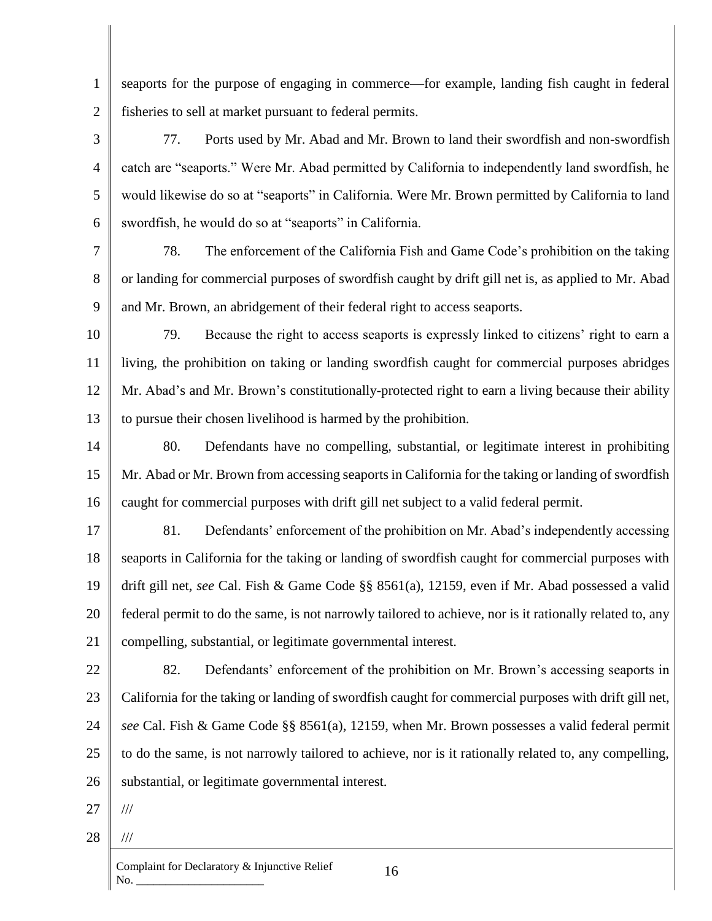1 2 seaports for the purpose of engaging in commerce—for example, landing fish caught in federal fisheries to sell at market pursuant to federal permits.

3 4 5 6 77. Ports used by Mr. Abad and Mr. Brown to land their swordfish and non-swordfish catch are "seaports." Were Mr. Abad permitted by California to independently land swordfish, he would likewise do so at "seaports" in California. Were Mr. Brown permitted by California to land swordfish, he would do so at "seaports" in California.

7

8

9

78. The enforcement of the California Fish and Game Code's prohibition on the taking or landing for commercial purposes of swordfish caught by drift gill net is, as applied to Mr. Abad and Mr. Brown, an abridgement of their federal right to access seaports.

10 11 12 13 79. Because the right to access seaports is expressly linked to citizens' right to earn a living, the prohibition on taking or landing swordfish caught for commercial purposes abridges Mr. Abad's and Mr. Brown's constitutionally-protected right to earn a living because their ability to pursue their chosen livelihood is harmed by the prohibition.

14 15 16 80. Defendants have no compelling, substantial, or legitimate interest in prohibiting Mr. Abad or Mr. Brown from accessing seaports in California for the taking or landing of swordfish caught for commercial purposes with drift gill net subject to a valid federal permit.

17 18 19 20 21 81. Defendants' enforcement of the prohibition on Mr. Abad's independently accessing seaports in California for the taking or landing of swordfish caught for commercial purposes with drift gill net, *see* Cal. Fish & Game Code §§ 8561(a), 12159, even if Mr. Abad possessed a valid federal permit to do the same, is not narrowly tailored to achieve, nor is it rationally related to, any compelling, substantial, or legitimate governmental interest.

22 23 24 25 26 82. Defendants' enforcement of the prohibition on Mr. Brown's accessing seaports in California for the taking or landing of swordfish caught for commercial purposes with drift gill net, *see* Cal. Fish & Game Code §§ 8561(a), 12159, when Mr. Brown possesses a valid federal permit to do the same, is not narrowly tailored to achieve, nor is it rationally related to, any compelling, substantial, or legitimate governmental interest.

27 ///

28 ///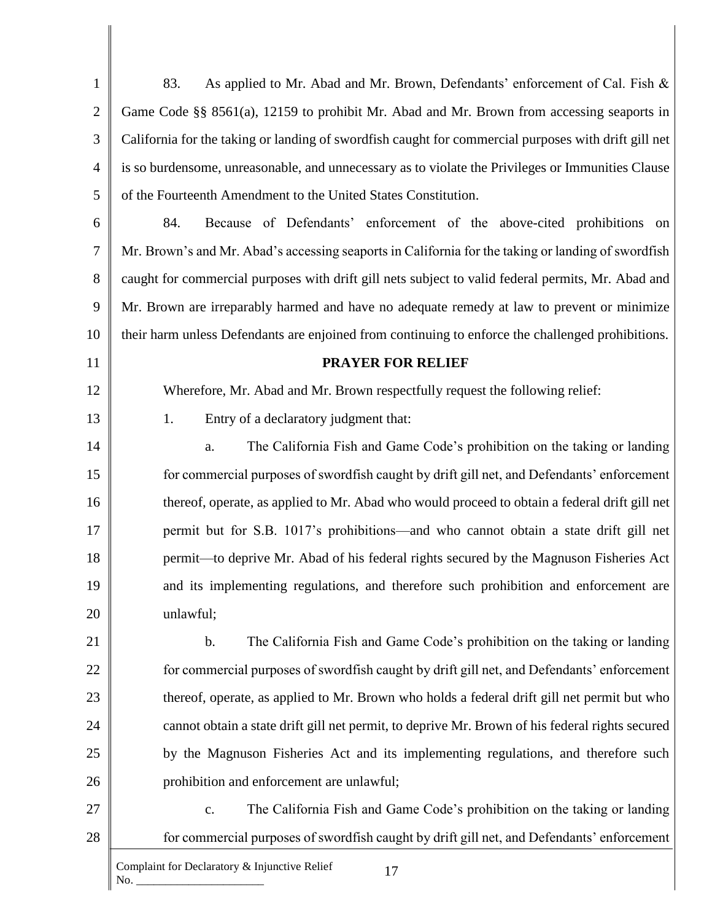| $\mathbf{1}$   | 83.<br>As applied to Mr. Abad and Mr. Brown, Defendants' enforcement of Cal. Fish &                  |
|----------------|------------------------------------------------------------------------------------------------------|
| $\overline{2}$ | Game Code §§ 8561(a), 12159 to prohibit Mr. Abad and Mr. Brown from accessing seaports in            |
| 3              | California for the taking or landing of swordfish caught for commercial purposes with drift gill net |
| $\overline{4}$ | is so burdensome, unreasonable, and unnecessary as to violate the Privileges or Immunities Clause    |
| 5              | of the Fourteenth Amendment to the United States Constitution.                                       |
| 6              | Because of Defendants' enforcement of the above-cited prohibitions on<br>84.                         |
| $\tau$         | Mr. Brown's and Mr. Abad's accessing seaports in California for the taking or landing of swordfish   |
| 8              | caught for commercial purposes with drift gill nets subject to valid federal permits, Mr. Abad and   |
| 9              | Mr. Brown are irreparably harmed and have no adequate remedy at law to prevent or minimize           |
| 10             | their harm unless Defendants are enjoined from continuing to enforce the challenged prohibitions.    |
| 11             | <b>PRAYER FOR RELIEF</b>                                                                             |
| 12             | Wherefore, Mr. Abad and Mr. Brown respectfully request the following relief:                         |
| 13             | Entry of a declaratory judgment that:<br>1.                                                          |
| 14             | The California Fish and Game Code's prohibition on the taking or landing<br>a.                       |
| 15             | for commercial purposes of swordfish caught by drift gill net, and Defendants' enforcement           |
| 16             | thereof, operate, as applied to Mr. Abad who would proceed to obtain a federal drift gill net        |
| 17             | permit but for S.B. 1017's prohibitions-and who cannot obtain a state drift gill net                 |
| 18             | permit—to deprive Mr. Abad of his federal rights secured by the Magnuson Fisheries Act               |
| 19             | and its implementing regulations, and therefore such prohibition and enforcement are                 |
| 20             | unlawful;                                                                                            |
| 21             | b.<br>The California Fish and Game Code's prohibition on the taking or landing                       |
| 22             | for commercial purposes of swordfish caught by drift gill net, and Defendants' enforcement           |
| 23             | thereof, operate, as applied to Mr. Brown who holds a federal drift gill net permit but who          |
| 24             | cannot obtain a state drift gill net permit, to deprive Mr. Brown of his federal rights secured      |
| 25             | by the Magnuson Fisheries Act and its implementing regulations, and therefore such                   |
| 26             | prohibition and enforcement are unlawful;                                                            |
| 27             | The California Fish and Game Code's prohibition on the taking or landing<br>$\mathbf{c}$ .           |
| 28             | for commercial purposes of swordfish caught by drift gill net, and Defendants' enforcement           |
|                | Complaint for Declaratory & Injunctive Relief<br>17<br>No.                                           |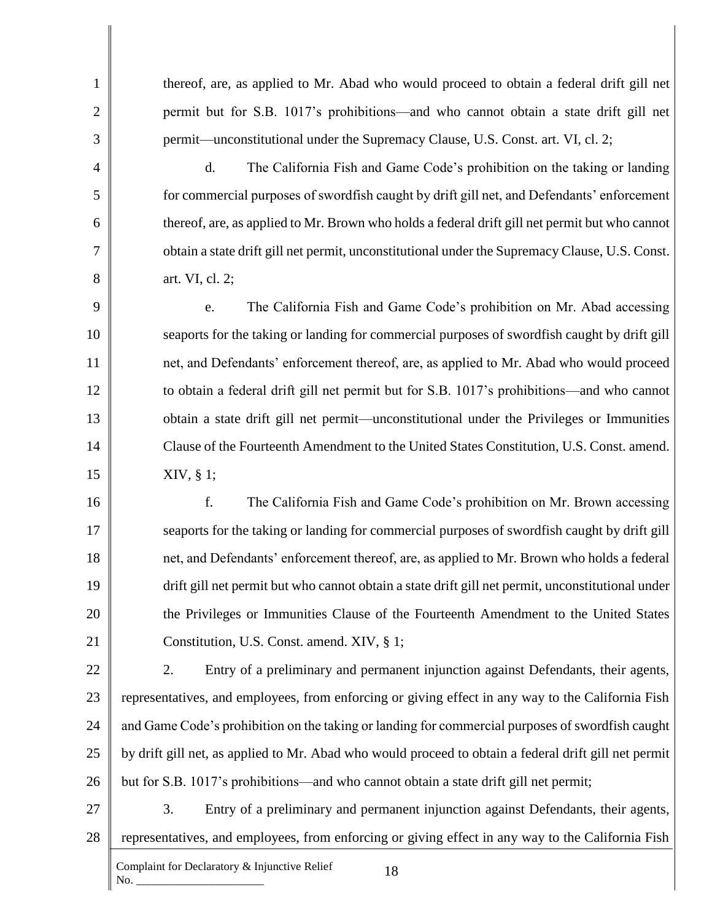1 2 3 4 5 6 7 8 9 10 11 12 13 14 15 16 17 18 19 20 21 22 23 24 25 26 27 28 Complaint for Declaratory & Injunctive Relief 18 thereof, are, as applied to Mr. Abad who would proceed to obtain a federal drift gill net permit but for S.B. 1017's prohibitions—and who cannot obtain a state drift gill net permit—unconstitutional under the Supremacy Clause, U.S. Const. art. VI, cl. 2; d. The California Fish and Game Code's prohibition on the taking or landing for commercial purposes of swordfish caught by drift gill net, and Defendants' enforcement thereof, are, as applied to Mr. Brown who holds a federal drift gill net permit but who cannot obtain a state drift gill net permit, unconstitutional under the Supremacy Clause, U.S. Const. art. VI, cl. 2; e. The California Fish and Game Code's prohibition on Mr. Abad accessing seaports for the taking or landing for commercial purposes of swordfish caught by drift gill net, and Defendants' enforcement thereof, are, as applied to Mr. Abad who would proceed to obtain a federal drift gill net permit but for S.B. 1017's prohibitions—and who cannot obtain a state drift gill net permit—unconstitutional under the Privileges or Immunities Clause of the Fourteenth Amendment to the United States Constitution, U.S. Const. amend. XIV, § 1; f. The California Fish and Game Code's prohibition on Mr. Brown accessing seaports for the taking or landing for commercial purposes of swordfish caught by drift gill net, and Defendants' enforcement thereof, are, as applied to Mr. Brown who holds a federal drift gill net permit but who cannot obtain a state drift gill net permit, unconstitutional under the Privileges or Immunities Clause of the Fourteenth Amendment to the United States Constitution, U.S. Const. amend. XIV, § 1; 2. Entry of a preliminary and permanent injunction against Defendants, their agents, representatives, and employees, from enforcing or giving effect in any way to the California Fish and Game Code's prohibition on the taking or landing for commercial purposes of swordfish caught by drift gill net, as applied to Mr. Abad who would proceed to obtain a federal drift gill net permit but for S.B. 1017's prohibitions—and who cannot obtain a state drift gill net permit; 3. Entry of a preliminary and permanent injunction against Defendants, their agents, representatives, and employees, from enforcing or giving effect in any way to the California Fish

 $No.$